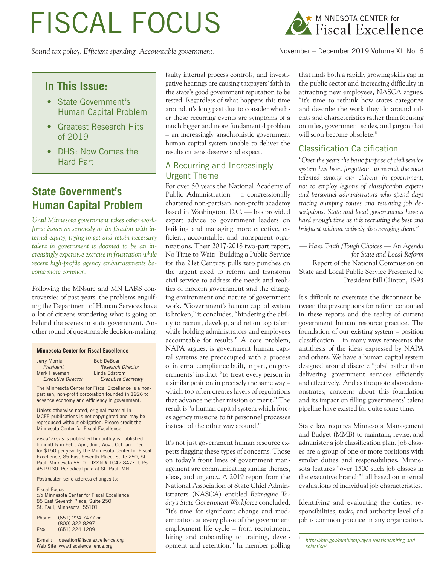# FISCAL FOCUS

*Sound tax policy. Efficient spending. Accountable government.* November – December 2019 Volume XL No. 6



# **In This Issue:**

- State Government's Human Capital Problem
- Greatest Research Hits of 2019
- DHS: Now Comes the Hard Part

# **State Government's Human Capital Problem**

*Until Minnesota government takes other workforce issues as seriously as its fixation with internal equity, trying to get and retain necessary talent in government is doomed to be an increasingly expensive exercise in frustration while recent high-profile agency embarrassments become more common.*

Following the MNsure and MN LARS controversies of past years, the problems engulfing the Department of Human Services have a lot of citizens wondering what is going on behind the scenes in state government. Another round of questionable decision-making,

#### **Minnesota Center for Fiscal Excellence**

| Jerry Morris              | <b>Bob DeBoer</b>          |
|---------------------------|----------------------------|
| President                 | <b>Research Director</b>   |
| Mark Haveman              | Linda Edstrom              |
| <b>Executive Director</b> | <b>Executive Secretary</b> |

The Minnesota Center for Fiscal Excellence is a nonpartisan, non-profit corporation founded in 1926 to advance economy and efficiency in government.

Unless otherwise noted, original material in MCFE publications is not copyrighted and may be reproduced without obligation. Please credit the Minnesota Center for Fiscal Excellence.

*Fiscal Focus* is published bimonthly is published bimonthly in Feb., Apr., Jun., Aug., Oct. and Dec. for \$150 per year by the Minnesota Center for Fiscal Excellence, 85 East Seventh Place, Suite 250, St. Paul, Minnesota 55101. ISSN # 1042-847X. UPS #519130. Periodical paid at St. Paul, MN.

Postmaster, send address changes to:

Fiscal Focus c/o Minnesota Center for Fiscal Excellence 85 East Seventh Place, Suite 250 St. Paul, Minnesota 55101

| Phone: | (651) 224-7477 or |
|--------|-------------------|
|        | (800) 322-8297    |
| Fax:   | $(651)$ 224-1209  |

E-mail: question@fiscalexcellence.org Web Site: www.fiscalexcellence.org

faulty internal process controls, and investigative hearings are causing taxpayers' faith in the state's good government reputation to be tested. Regardless of what happens this time around, it's long past due to consider whether these recurring events are symptoms of a much bigger and more fundamental problem – an increasingly anachronistic government human capital system unable to deliver the results citizens deserve and expect.

## A Recurring and Increasingly Urgent Theme

For over 50 years the National Academy of Public Administration – a congressionally chartered non-partisan, non-profit academy based in Washington, D.C. — has provided expert advice to government leaders on building and managing more effective, efficient, accountable, and transparent organizations. Their 2017-2018 two-part report, No Time to Wait: Building a Public Service for the 21st Century, pulls zero punches on the urgent need to reform and transform civil service to address the needs and realities of modern government and the changing environment and nature of government work. "Government's human capital system is broken," it concludes, "hindering the ability to recruit, develop, and retain top talent while holding administrators and employees accountable for results." A core problem, NAPA argues, is government human capital systems are preoccupied with a process of internal compliance built, in part, on governments' instinct "to treat every person in a similar position in precisely the same way – which too often creates layers of regulations that advance neither mission or merit." The result is "a human capital system which forces agency missions to fit personnel processes instead of the other way around."

It's not just government human resource experts flagging these types of concerns. Those on today's front lines of government management are communicating similar themes, ideas, and urgency. A 2019 report from the National Association of State Chief Administrators (NASCA) entitled *Reimagine Today's State Government Workforce* concluded, "It's time for significant change and modernization at every phase of the government employment life cycle – from recruitment, E-mail: question@fiscalexcellence.org hiring and onboarding to training, devel- https://mn.gov/mmb/employee-relations/hiring-andopment and retention." In member polling

that finds both a rapidly growing skills gap in the public sector and increasing difficulty in attracting new employees, NASCA argues, "it's time to rethink how states categorize and describe the work they do around talents and characteristics rather than focusing on titles, government scales, and jargon that will soon become obsolete."

# Classification Calcification

*"Over the years the basic purpose of civil service system has been forgotten: to recruit the most talented among our citizens in government, not to employ legions of classification experts and personnel administrators who spend days tracing bumping routes and rewriting job descriptions. State and local governments have a hard enough time as it is recruiting the best and brightest without actively discouraging them."* 

*— Hard Truth /Tough Choices — An Agenda for State and Local Reform* Report of the National Commission on State and Local Public Service Presented to President Bill Clinton, 1993

It's difficult to overstate the disconnect between the prescriptions for reform contained in these reports and the reality of current government human resource practice. The foundation of our existing system – position classification – in many ways represents the antithesis of the ideas expressed by NAPA and others. We have a human capital system designed around discrete "jobs" rather than delivering government services efficiently and effectively. And as the quote above demonstrates, concerns about this foundation and its impact on filling governments' talent pipeline have existed for quite some time.

State law requires Minnesota Management and Budget (MMB) to maintain, revise, and administer a job classification plan. Job classes are a group of one or more positions with similar duties and responsibilities. Minnesota features "over 1500 such job classes in the executive branch"<sup>1</sup> all based on internal evaluations of individual job characteristics.

Identifying and evaluating the duties, responsibilities, tasks, and authority level of a job is common practice in any organization.

*selection/*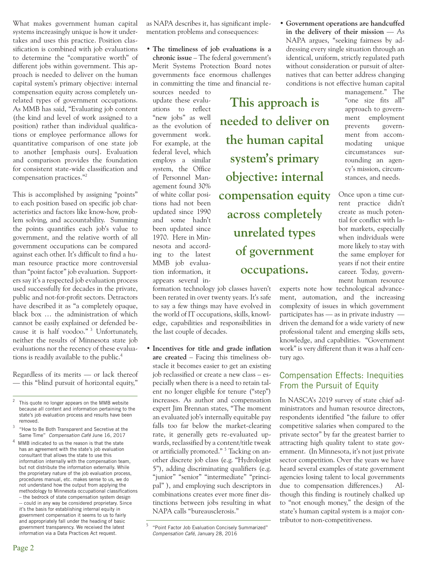What makes government human capital systems increasingly unique is how it undertakes and uses this practice. Position classification is combined with job evaluations to determine the "comparative worth" of different jobs within government. This approach is needed to deliver on the human capital system's primary objective: internal compensation equity across completely unrelated types of government occupations. As MMB has said, "Evaluating job content (the kind and level of work assigned to a position) rather than individual qualifications or employee performance allows for quantitative comparison of one state job to another [emphasis ours]. Evaluation and comparison provides the foundation for consistent state-wide classification and compensation practices."<sup>2</sup>

This is accomplished by assigning "points" to each position based on specific job characteristics and factors like know-how, problem solving, and accountability. Summing the points quantifies each job's value to government, and the relative worth of all government occupations can be compared against each other. It's difficult to find a human resource practice more controversial than "point factor" job evaluation. Supporters say it's a respected job evaluation process used successfully for decades in the private, public and not-for-profit sectors. Detractors have described it as "a completely opaque, black box … the administration of which cannot be easily explained or defended because it is half voodoo."<sup>3</sup> Unfortunately, neither the results of Minnesota state job evaluations nor the recency of these evaluations is readily available to the public.<sup>4</sup>

Regardless of its merits — or lack thereof — this "blind pursuit of horizontal equity,"

- <sup>3</sup> "How to Be Both Transparent and Secretive at the Same Time" *Compensation Café* June 16, 2017
- $4$  MMB indicated to us the reason is that the state has an agreement with the state's job evaluation consultant that allows the state to use this information internally with the compensation team, but not distribute the information externally. While the proprietary nature of the job evaluation process, procedures manual, etc. makes sense to us, we do not understand how the output from applying the methodology to Minnesota occupational classifications – the bedrock of state compensation system design -- could in any way be considered proprietary. Since it's the basis for establishing internal equity in government compensation it seems to us to fairly and appropriately fall under the heading of basic government transparency. We received the latest information via a Data Practices Act request.

as NAPA describes it, has significant implementation problems and consequences:

• **The timeliness of job evaluations is a chronic issue** – The federal government's Merit Systems Protection Board notes governments face enormous challenges in committing the time and financial resources needed to

update these evaluations to reflect "new jobs" as well as the evolution of government work. For example, at the federal level, which employs a similar system, the Office of Personnel Management found 30% of white collar positions had not been updated since 1990 and some hadn't been updated since 1970. Here in Minnesota and according to the latest MMB job evaluation information, it appears several in-

**This approach is needed to deliver on the human capital system's primary objective: internal compensation equity across completely unrelated types of government occupations.**

formation technology job classes haven't been rerated in over twenty years. It's safe Once upon a time current practice didn't create as much potential for conflict with labor markets, especially when individuals were more likely to stay with the same employer for years if not their entire career. Today, government human resource

experts note how technological advancement, automation, and the increasing complexity of issues in which government participates has — as in private industry driven the demand for a wide variety of new professional talent and emerging skills sets, knowledge, and capabilities. "Government work" is very different than it was a half century ago.

## Compensation Effects: Inequities From the Pursuit of Equity

In NASCA's 2019 survey of state chief administrators and human resource directors, respondents identified "the failure to offer competitive salaries when compared to the private sector" by far the greatest barrier to attracting high quality talent to state government. (In Minnesota, it's not just private sector competition. Over the years we have heard several examples of state government agencies losing talent to local governments due to compensation differences.) Although this finding is routinely chalked up to "not enough money," the design of the state's human capital system is a major contributor to non-competitiveness.

NAPA calls "bureausclerosis."

to say a few things may have evolved in the world of IT occupations, skills, knowledge, capabilities and responsibilities in

• **Incentives for title and grade inflation are created** – Facing this timeliness obstacle it becomes easier to get an existing job reclassified or create a new class – especially when there is a need to retain talent no longer eligible for tenure ("step") increases. As author and compensation expert Jim Brennan states, "The moment an evaluated job's internally equitable pay falls too far below the market-clearing rate, it generally gets re-evaluated upwards, reclassified by a content/title tweak or artificially promoted." <sup>5</sup> Tacking on another discrete job class (e.g. "Hydrologist 5"), adding discriminating qualifiers (e.g. "junior" "senior" "intermediate" "principal" ), and employing such descriptors in combinations creates ever more finer distinctions between jobs resulting in what

the last couple of decades.

without consideration or pursuit of alternatives that can better address changing conditions is not effective human capital management." The "one size fits all" approach to government employment prevents government from accommodating unique circumstances sur-

> rounding an agency's mission, circumstances, and needs.

• **Government operations are handcuffed in the delivery of their mission** — As NAPA argues, "seeking fairness by addressing every single situation through an identical, uniform, strictly regulated path

 $2$  This quote no longer appears on the MMB website because all content and information pertaining to the state's job evaluation process and results have been removed.

<sup>5</sup> "Point Factor Job Evaluation Concisely Summarized" *Compensation Café*, January 28, 2016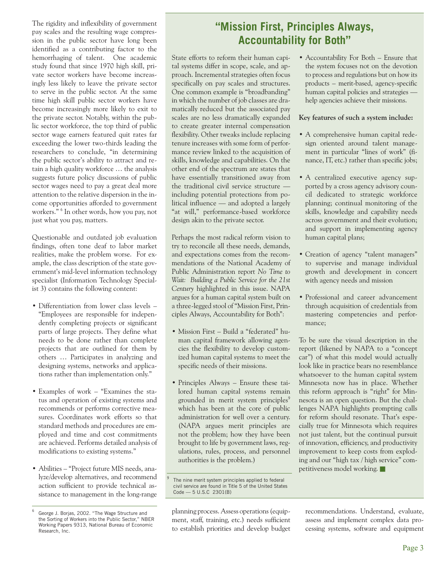The rigidity and inflexibility of government pay scales and the resulting wage compression in the public sector have long been identified as a contributing factor to the hemorrhaging of talent. One academic study found that since 1970 high skill, private sector workers have become increasingly less likely to leave the private sector to serve in the public sector. At the same time high skill public sector workers have become increasingly more likely to exit to the private sector. Notably, within the public sector workforce, the top third of public sector wage earners featured quit rates far exceeding the lower two-thirds leading the researchers to conclude, "in determining the public sector's ability to attract and retain a high quality workforce … the analysis suggests future policy discussions of public sector wages need to pay a great deal more attention to the relative dispersion in the income opportunities afforded to government workers." <sup>6</sup> In other words, how you pay, not just what you pay, matters.

Questionable and outdated job evaluation findings, often tone deaf to labor market realities, make the problem worse. For example, the class description of the state government's mid-level information technology specialist (Information Technology Specialist 3) contains the following content:

- Differentiation from lower class levels "Employees are responsible for independently completing projects or significant parts of large projects. They define what needs to be done rather than complete projects that are outlined for them by others … Participates in analyzing and designing systems, networks and applications rather than implementation only."
- Examples of work "Examines the status and operation of existing systems and recommends or performs corrective measures. Coordinates work efforts so that standard methods and procedures are employed and time and cost commitments are achieved. Performs detailed analysis of modifications to existing systems."
- Abilities "Project future MIS needs, analyze/develop alternatives, and recommend action sufficient to provide technical assistance to management in the long-range

# **"Mission First, Principles Always, Accountability for Both"**

State efforts to reform their human capital systems differ in scope, scale, and approach. Incremental strategies often focus specifically on pay scales and structures. One common example is "broadbanding" in which the number of job classes are dramatically reduced but the associated pay scales are no less dramatically expanded to create greater internal compensation flexibility. Other tweaks include replacing tenure increases with some form of performance review linked to the acquisition of skills, knowledge and capabilities. On the other end of the spectrum are states that have essentially transitioned away from the traditional civil service structure including potential protections from political influence — and adopted a largely "at will," performance-based workforce design akin to the private sector.

Perhaps the most radical reform vision to try to reconcile all these needs, demands, and expectations comes from the recommendations of the National Academy of Public Administration report *No Time to Wait: Building a Public Service for the 21st Century* highlighted in this issue. NAPA argues for a human capital system built on a three-legged stool of "Mission First, Principles Always, Accountability for Both":

- Mission First Build a "federated" human capital framework allowing agencies the flexibility to develop customized human capital systems to meet the specific needs of their missions.
- Principles Always Ensure these tailored human capital systems remain grounded in merit system principles<sup>9</sup> which has been at the core of public administration for well over a century. (NAPA argues merit principles are not the problem; how they have been brought to life by government laws, regulations, rules, process, and personnel authorities is the problem.)

planning process. Assess operations (equipment, staff, training, etc.) needs sufficient to establish priorities and develop budget • Accountability For Both – Ensure that the system focuses not on the devotion to process and regulations but on how its products – merit-based, agency-specific human capital policies and strategies help agencies achieve their missions.

#### **Key features of such a system include:**

- A comprehensive human capital redesign oriented around talent management in particular "lines of work" (finance, IT, etc.) rather than specific jobs;
- A centralized executive agency supported by a cross agency advisory council dedicated to strategic workforce planning; continual monitoring of the skills, knowledge and capability needs across government and their evolution; and support in implementing agency human capital plans;
- Creation of agency "talent managers" to supervise and manage individual growth and development in concert with agency needs and mission
- Professional and career advancement through acquisition of credentials from mastering competencies and performance;

To be sure the visual description in the report (likened by NAPA to a "concept car") of what this model would actually look like in practice bears no resemblance whatsoever to the human capital system Minnesota now has in place. Whether this reform approach is "right" for Minnesota is an open question. But the challenges NAPA highlights prompting calls for reform should resonate. That's especially true for Minnesota which requires not just talent, but the continual pursuit of innovation, efficiency, and productivity improvement to keep costs from exploding and our "high tax / high service" competitiveness model working.

recommendations. Understand, evaluate, assess and implement complex data processing systems, software and equipment

<sup>6</sup> George J. Borjas, 2002. "The Wage Structure and the Sorting of Workers into the Public Sector," NBER Working Papers 9313, National Bureau of Economic Research, Inc.

The nine merit system principles applied to federal civil service are found in Title 5 of the United States Code — 5 U.S.C 2301(B)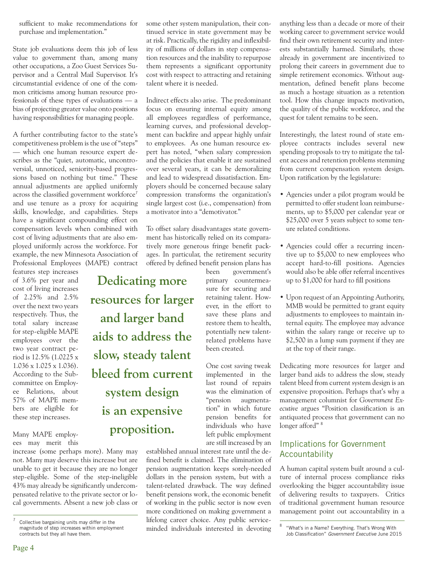sufficient to make recommendations for purchase and implementation."

State job evaluations deem this job of less value to government than, among many other occupations, a Zoo Guest Services Supervisor and a Central Mail Supervisor. It's circumstantial evidence of one of the common criticisms among human resource professionals of these types of evaluations — a bias of projecting greater value onto positions having responsibilities for managing people.

A further contributing factor to the state's competitiveness problem is the use of "steps" — which one human resource expert describes as the "quiet, automatic, uncontroversial, unnoticed, seniority-based progressions based on nothing but time." These annual adjustments are applied uniformly across the classified government workforce<sup>7</sup> and use tenure as a proxy for acquiring skills, knowledge, and capabilities. Steps have a significant compounding effect on compensation levels when combined with cost of living adjustments that are also employed uniformly across the workforce. For example, the new Minnesota Association of Professional Employees (MAPE) contract

features step increases of 3.6% per year and cost of living increases of 2.25% and 2.5% over the next two years respectively. Thus, the total salary increase for step-eligible MAPE employees over the two year contract period is 12.5% (1.0225 x 1.036 x 1.025 x 1.036). According to the Subcommittee on Employee Relations, about 57% of MAPE members are eligible for these step increases.

Many MAPE employees may merit this

increase (some perhaps more). Many may not. Many may deserve this increase but are unable to get it because they are no longer step-eligible. Some of the step-ineligible 43% may already be significantly undercompensated relative to the private sector or local governments. Absent a new job class or some other system manipulation, their continued service in state government may be at risk. Practically, the rigidity and inflexibility of millions of dollars in step compensation resources and the inability to repurpose them represents a significant opportunity cost with respect to attracting and retaining talent where it is needed.

Indirect effects also arise. The predominant focus on ensuring internal equity among all employees regardless of performance, learning curves, and professional development can backfire and appear highly unfair to employees. As one human resource expert has noted, "when salary compression and the policies that enable it are sustained over several years, it can be demoralizing and lead to widespread dissatisfaction. Employers should be concerned because salary compression transforms the organization's single largest cost (i.e., compensation) from a motivator into a "demotivator."

To offset salary disadvantages state government has historically relied on its comparatively more generous fringe benefit packages. In particular, the retirement security offered by defined benefit pension plans has

**Dedicating more resources for larger and larger band aids to address the slow, steady talent bleed from current system design is an expensive proposition.**

been government's primary countermeasure for securing and retaining talent. However, in the effort to save these plans and restore them to health, potentially new talentrelated problems have been created.

One cost saving tweak implemented in the last round of repairs was the elimination of "pension augmentation" in which future pension benefits for individuals who have left public employment are still increased by an

established annual interest rate until the defined benefit is claimed. The elimination of pension augmentation keeps sorely-needed dollars in the pension system, but with a talent-related drawback. The way defined benefit pensions work, the economic benefit of working in the public sector is now even more conditioned on making government a lifelong career choice. Any public serviceminded individuals interested in devoting anything less than a decade or more of their working career to government service would find their own retirement security and interests substantially harmed. Similarly, those already in government are incentivized to prolong their careers in government due to simple retirement economics. Without augmentation, defined benefit plans become as much a hostage situation as a retention tool. How this change impacts motivation, the quality of the public workforce, and the quest for talent remains to be seen.

Interestingly, the latest round of state employee contracts includes several new spending proposals to try to mitigate the talent access and retention problems stemming from current compensation system design. Upon ratification by the legislature:

- Agencies under a pilot program would be permitted to offer student loan reimbursements, up to \$5,000 per calendar year or \$25,000 over 5 years subject to some tenure related conditions.
- Agencies could offer a recurring incentive up to \$5,000 to new employees who accept hard-to-fill positions. Agencies would also be able offer referral incentives up to \$1,000 for hard to fill positions
- Upon request of an Appointing Authority, MMB would be permitted to grant equity adjustments to employees to maintain internal equity. The employee may advance within the salary range or receive up to \$2,500 in a lump sum payment if they are at the top of their range.

Dedicating more resources for larger and larger band aids to address the slow, steady talent bleed from current system design is an expensive proposition. Perhaps that's why a management columnist for *Government Executive* argues "Position classification is an antiquated process that government can no longer afford"<sup>8</sup>

# Implications for Government Accountability

A human capital system built around a culture of internal process compliance risks overlooking the bigger accountability issue of delivering results to taxpayers. Critics of traditional government human resource management point out accountability in a

 $\frac{7}{1}$  Collective bargaining units may differ in the magnitude of step increases within employment contracts but they all have them.

<sup>&</sup>quot;What's in a Name? Everything. That's Wrong With Job Classification" Government Executive June 2015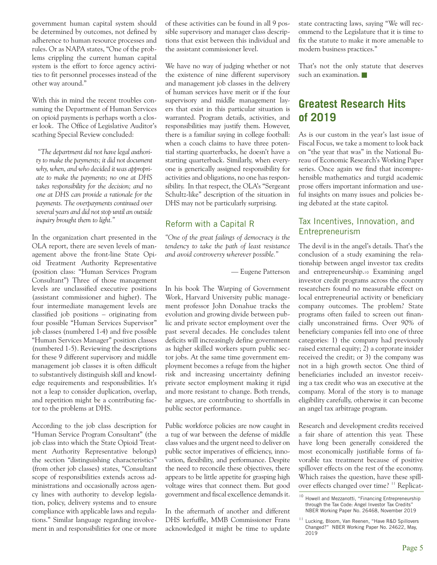government human capital system should be determined by outcomes, not defined by adherence to human resource processes and rules. Or as NAPA states, "One of the problems crippling the current human capital system is the effort to force agency activities to fit personnel processes instead of the other way around."

With this in mind the recent troubles consuming the Department of Human Services on opioid payments is perhaps worth a closer look. The Office of Legislative Auditor's scathing Special Review concluded:

 *"The department did not have legal authority to make the payments; it did not document why, when, and who decided it was appropriate to make the payments; no one at DHS takes responsibility for the decision; and no one at DHS can provide a rationale for the payments. The overpayments continued over several years and did not stop until an outside inquiry brought them to light."*

In the organization chart presented in the OLA report, there are seven levels of management above the front-line State Opioid Treatment Authority Representative (position class: "Human Services Program Consultant") Three of those management levels are unclassified executive positions (assistant commissioner and higher). The four intermediate management levels are classified job positions – originating from four possible "Human Services Supervisor" job classes (numbered 1-4) and five possible "Human Services Manager" position classes (numbered 1-5). Reviewing the descriptions for these 9 different supervisory and middle management job classes it is often difficult to substantively distinguish skill and knowledge requirements and responsibilities. It's not a leap to consider duplication, overlap, and repetition might be a contributing factor to the problems at DHS.

According to the job class description for "Human Service Program Consultant" (the job class into which the State Opioid Treatment Authority Representative belongs) the section "distinguishing characteristics" (from other job classes) states, "Consultant scope of responsibilities extends across administrations and occasionally across agency lines with authority to develop legislation, policy, delivery systems and to ensure compliance with applicable laws and regulations." Similar language regarding involvement in and responsibilities for one or more of these activities can be found in all 9 possible supervisory and manager class descriptions that exist between this individual and the assistant commissioner level.

We have no way of judging whether or not the existence of nine different supervisory and management job classes in the delivery of human services have merit or if the four supervisory and middle management layers that exist in this particular situation is warranted. Program details, activities, and responsibilities may justify them. However, there is a familiar saying in college football: when a coach claims to have three potential starting quarterbacks, he doesn't have a starting quarterback. Similarly, when everyone is generically assigned responsibility for activities and obligations, no one has responsibility. In that respect, the OLA's "Sergeant Schultz-like" description of the situation in DHS may not be particularly surprising.

## Reform with a Capital R

*"One of the great failings of democracy is the tendency to take the path of least resistance and avoid controversy wherever possible."*

— Eugene Patterson

In his book The Warping of Government Work, Harvard University public management professor John Donahue tracks the evolution and growing divide between public and private sector employment over the past several decades. He concludes talent deficits will increasingly define government as higher skilled workers spurn public sector jobs. At the same time government employment becomes a refuge from the higher risk and increasing uncertainty defining private sector employment making it rigid and more resistant to change. Both trends, he argues, are contributing to shortfalls in public sector performance.

Public workforce policies are now caught in a tug of war between the defense of middle class values and the urgent need to deliver on public sector imperatives of efficiency, innovation, flexibility, and performance. Despite the need to reconcile these objectives, there appears to be little appetite for grasping high voltage wires that connect them. But good government and fiscal excellence demands it.

In the aftermath of another and different DHS kerfuffle, MMB Commissioner Frans acknowledged it might be time to update

state contracting laws, saying "We will recommend to the Legislature that it is time to fix the statute to make it more amenable to modern business practices."

That's not the only statute that deserves such an examination.

# **Greatest Research Hits of 2019**

As is our custom in the year's last issue of Fiscal Focus, we take a moment to look back on "the year that was" in the National Bureau of Economic Research's Working Paper series. Once again we find that incomprehensible mathematics and turgid academic prose offers important information and useful insights on many issues and policies being debated at the state capitol.

## Tax Incentives, Innovation, and Entrepreneurism

The devil is in the angel's details. That's the conclusion of a study examining the relationship between angel investor tax credits and entrepreneurship.10 Examining angel investor credit programs across the country researchers found no measurable effect on local entrepreneurial activity or beneficiary company outcomes. The problem? State programs often failed to screen out financially unconstrained firms. Over 90% of beneficiary companies fell into one of three categories: 1) the company had previously raised external equity; 2) a corporate insider received the credit; or 3) the company was not in a high growth sector. One third of beneficiaries included an investor receiving a tax credit who was an executive at the company. Moral of the story is to manage eligibility carefully, otherwise it can become an angel tax arbitrage program.

Research and development credits received a fair share of attention this year. These have long been generally considered the most economically justifiable forms of favorable tax treatment because of positive spillover effects on the rest of the economy. Which raises the question, have these spillover effects changed over time? 11 Replicat-

 $^{10}$  Howell and Mezzanotti, "Financing Entrepreneurship through the Tax Code: Angel Investor Tax Credits" NBER Working Paper No. 26468, November 2019

Lucking, Bloom, Van Reenen, "Have R&D Spillovers Changed?" NBER Working Paper No. 24622, May, 2019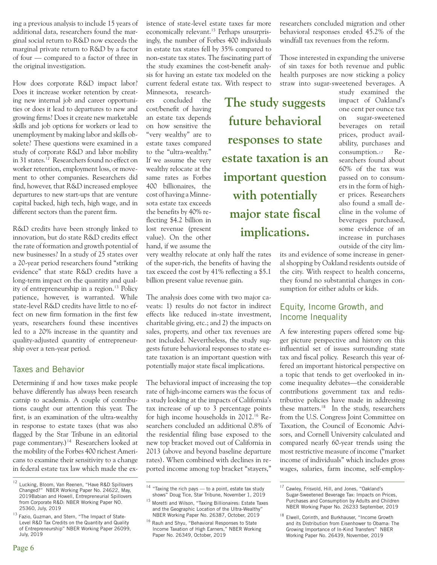ing a previous analysis to include 15 years of additional data, researchers found the marginal social return to R&D now exceeds the marginal private return to R&D by a factor of four — compared to a factor of three in the original investigation.

How does corporate R&D impact labor? Does it increase worker retention by creating new internal job and career opportunities or does it lead to departures to new and growing firms? Does it create new marketable skills and job options for workers or lead to unemployment by making labor and skills obsolete? These questions were examined in a study of corporate R&D and labor mobility in 31 states.<sup>12</sup> Researchers found no effect on worker retention, employment loss, or movement to other companies. Researchers did find, however, that R&D increased employee departures to new start-ups that are venture capital backed, high tech, high wage, and in different sectors than the parent firm.

R&D credits have been strongly linked to innovation, but do state R&D credits effect the rate of formation and growth potential of new businesses? In a study of 25 states over a 20-year period researchers found "striking evidence" that state R&D credits have a long-term impact on the quantity and quality of entrepreneurship in a region.<sup>13</sup> Policy patience, however, is warranted. While state-level R&D credits have little to no effect on new firm formation in the first few years, researchers found these incentives led to a 20% increase in the quantity and quality-adjusted quantity of entrepreneurship over a ten-year period.

#### Taxes and Behavior

Determining if and how taxes make people behave differently has always been research catnip to academia. A couple of contributions caught our attention this year. The first, is an examination of the ultra-wealthy in response to estate taxes (that was also flagged by the Star Tribune in an editorial page commentary.)<sup>14</sup> Researchers looked at the mobility of the Forbes 400 richest Americans to examine their sensitivity to a change in federal estate tax law which made the existence of state-level estate taxes far more economically relevant.<sup>15</sup> Perhaps unsurprisingly, the number of Forbes 400 individuals in estate tax states fell by 35% compared to non-estate tax states. The fascinating part of the study examines the cost-benefit analysis for having an estate tax modeled on the current federal estate tax. With respect to

Minnesota, researchers concluded the cost/benefit of having an estate tax depends on how sensitive the "very wealthy" are to estate taxes compared to the "ultra-wealthy." If we assume the very wealthy relocate at the same rates as Forbes 400 billionaires, the cost of having a Minnesota estate tax exceeds the benefits by 40% reflecting \$4.2 billion in lost revenue (present value). On the other hand, if we assume the

very wealthy relocate at only half the rates of the super-rich, the benefits of having the tax exceed the cost by 41% reflecting a \$5.1 billion present value revenue gain.

The analysis does come with two major caveats: 1) results do not factor in indirect effects like reduced in-state investment, charitable giving, etc.; and 2) the impacts on sales, property, and other tax revenues are not included. Nevertheless, the study suggests future behavioral responses to state estate taxation is an important question with potentially major state fiscal implications.

The behavioral impact of increasing the top rate of high-income earners was the focus of a study looking at the impacts of California's tax increase of up to 3 percentage points for high income households in 2012.<sup>16</sup> Researchers concluded an additional 0.8% of the residential filing base exposed to the new top bracket moved out of California in 2013 (above and beyond baseline departure rates). When combined with declines in reported income among top bracket "stayers,"

researchers concluded migration and other behavioral responses eroded 45.2% of the windfall tax revenues from the reform.

Those interested in expanding the universe of sin taxes for both revenue and public health purposes are now sticking a policy straw into sugar-sweetened beverages. A

**The study suggests future behavioral responses to state estate taxation is an important question with potentially major state fiscal implications.**

study examined the impact of Oakland's one cent per ounce tax on sugar-sweetened beverages on retail prices, product availability, purchases and consumption.17 Researchers found about 60% of the tax was passed on to consumers in the form of higher prices. Researchers also found a small decline in the volume of beverages purchased, some evidence of an increase in purchases outside of the city lim-

its and evidence of some increase in general shopping by Oakland residents outside of the city. With respect to health concerns, they found no substantial changes in consumption for either adults or kids.

## Equity, Income Growth, and Income Inequality

A few interesting papers offered some bigger picture perspective and history on this influential set of issues surrounding state tax and fiscal policy. Research this year offered an important historical perspective on a topic that tends to get overlooked in income inequality debates—the considerable contributions government tax and redistributive policies have made in addressing these matters.<sup>18</sup> In the study, researchers from the U.S. Congress Joint Committee on Taxation, the Council of Economic Advisors, and Cornell University calculated and compared nearly 60-year trends using the most restrictive measure of income ("market income of individuals" which includes gross wages, salaries, farm income, self-employ-

<sup>&</sup>lt;sup>12</sup> Lucking, Bloom, Van Reenen, "Have R&D Spillovers Changed?" NBER Working Paper No. 24622, May, 2019Babian and Howell, Entrepreneurial Spillovers from Corporate R&D: NBER Working Paper NO. 25360, July, 2019

<sup>&</sup>lt;sup>13</sup> Fazio, Guzman, and Stern, "The Impact of State-Level R&D Tax Credits on the Quantity and Quality of Entrepreneurship" NBER Working Paper 26099, July, 2019

 $14$  "Taxing the rich pays — to a point, estate tax study shows" Doug Tice, Star Tribune, November 1, 2019

<sup>15</sup> Moretti and Wilson, "Taxing Billionaires: Estate Taxes and the Geographic Location of the Ultra-Wealthy" NBER Working Paper No. 26387, October, 2019

<sup>16</sup> Rauh and Shyu, "Behavioral Responses to State Income Taxation of High Earners," NBER Working Paper No. 26349, October, 2019

<sup>&</sup>lt;sup>17</sup> Cawley, Frisvold, Hill, and Jones, "Oakland's Sugar-Sweetened Beverage Tax: Impacts on Prices, Purchases and Consumption by Adults and Children NBER Working Paper No. 26233 September, 2019

<sup>18</sup> Elwell, Corinth, and Burkhauser, "Income Growth and its Distribution from Eisenhower to Obama: The Growing Importance of In-Kind Transfers" NBER Working Paper No. 26439, November, 2019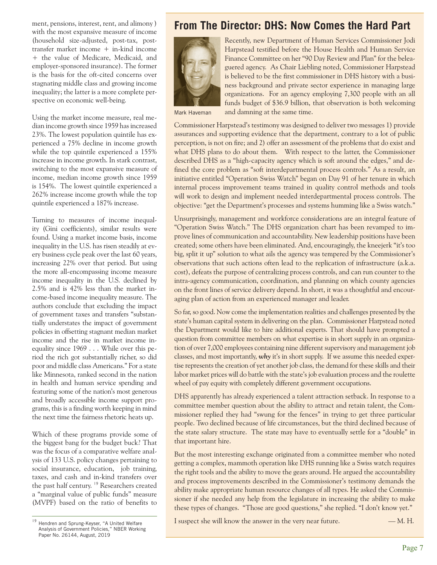ment, pensions, interest, rent, and alimony ) with the most expansive measure of income (household size-adjusted, post-tax, posttransfer market income + in-kind income + the value of Medicare, Medicaid, and employer-sponsored insurance). The former is the basis for the oft-cited concerns over stagnating middle class and growing income inequality; the latter is a more complete perspective on economic well-being.

Using the market income measure, real median income growth since 1959 has increased 23%. The lowest population quintile has experienced a 75% decline in income growth while the top quintile experienced a 155% increase in income growth. In stark contrast, switching to the most expansive measure of income, median income growth since 1959 is 154%. The lowest quintile experienced a 262% increase income growth while the top quintile experienced a 187% increase.

Turning to measures of income inequality (Gini coefficients), similar results were found. Using a market income basis, income inequality in the U.S. has risen steadily at every business cycle peak over the last 60 years, increasing 22% over that period. But using the more all-encompassing income measure income inequality in the U.S. declined by 2.5% and is 42% less than the market income-based income inequality measure. The authors conclude that excluding the impact of government taxes and transfers "substantially understates the impact of government policies in offsetting stagnant median market income and the rise in market income inequality since 1969 . . . While over this period the rich got substantially richer, so did poor and middle class Americans." For a state like Minnesota, ranked second in the nation in health and human service spending and featuring some of the nation's most generous and broadly accessible income support programs, this is a finding worth keeping in mind the next time the fairness rhetoric heats up.

Which of these programs provide some of the biggest bang for the budget buck? That was the focus of a comparative welfare analysis of 133 U.S. policy changes pertaining to social insurance, education, job training, taxes, and cash and in-kind transfers over the past half century.<sup>19</sup> Researchers created a "marginal value of public funds" measure (MVPF) based on the ratio of benefits to

# **From The Director: DHS: Now Comes the Hard Part**



Recently, new Department of Human Services Commissioner Jodi Harpstead testified before the House Health and Human Service Finance Committee on her "90 Day Review and Plan" for the beleaguered agency. As Chair Liebling noted, Commissioner Harpstead is believed to be the first commissioner in DHS history with a business background and private sector experience in managing large organizations. For an agency employing 7,300 people with an all funds budget of \$36.9 billion, that observation is both welcoming

Mark Haveman

and damning at the same time.

Commissioner Harpstead's testimony was designed to deliver two messages 1) provide assurances and supporting evidence that the department, contrary to a lot of public perception, is not on fire; and 2) offer an assessment of the problems that do exist and what DHS plans to do about them. With respect to the latter, the Commissioner described DHS as a "high-capacity agency which is soft around the edges," and defined the core problem as "soft interdepartmental process controls." As a result, an initiative entitled "Operation Swiss Watch" began on Day 91 of her tenure in which internal process improvement teams trained in quality control methods and tools will work to design and implement needed interdepartmental process controls. The objective: "get the Department's processes and systems humming like a Swiss watch."

Unsurprisingly, management and workforce considerations are an integral feature of "Operation Swiss Watch." The DHS organization chart has been revamped to improve lines of communication and accountability. New leadership positions have been created; some others have been eliminated. And, encouragingly, the kneejerk "it's too big, split it up" solution to what ails the agency was tempered by the Commissioner's observations that such actions often lead to the replication of infrastructure (a.k.a. cost), defeats the purpose of centralizing process controls, and can run counter to the intra-agency communication, coordination, and planning on which county agencies on the front lines of service delivery depend. In short, it was a thoughtful and encouraging plan of action from an experienced manager and leader.

So far, so good. Now come the implementation realities and challenges presented by the state's human capital system in delivering on the plan. Commissioner Harpstead noted the Department would like to hire additional experts. That should have prompted a question from committee members on what expertise is in short supply in an organization of over 7,000 employees containing nine different supervisory and management job classes, and most importantly, *why* it's in short supply. If we assume this needed expertise represents the creation of yet another job class, the demand for these skills and their labor market prices will do battle with the state's job evaluation process and the roulette wheel of pay equity with completely different government occupations.

DHS apparently has already experienced a talent attraction setback. In response to a committee member question about the ability to attract and retain talent, the Commissioner replied they had "swung for the fences" in trying to get three particular people. Two declined because of life circumstances, but the third declined because of the state salary structure. The state may have to eventually settle for a "double" in that important hire.

But the most interesting exchange originated from a committee member who noted getting a complex, mammoth operation like DHS running like a Swiss watch requires the right tools and the ability to move the gears around. He argued the accountability and process improvements described in the Commissioner's testimony demands the ability make appropriate human resource changes of all types. He asked the Commissioner if she needed any help from the legislature in increasing the ability to make these types of changes. "Those are good questions," she replied. "I don't know yet."

I suspect she will know the answer in the very near future.  $-$ M. H.

<sup>&</sup>lt;sup>19</sup> Hendren and Sprung-Keyser, "A United Welfare Analysis of Government Policies," NBER Working Paper No. 26144, August, 2019